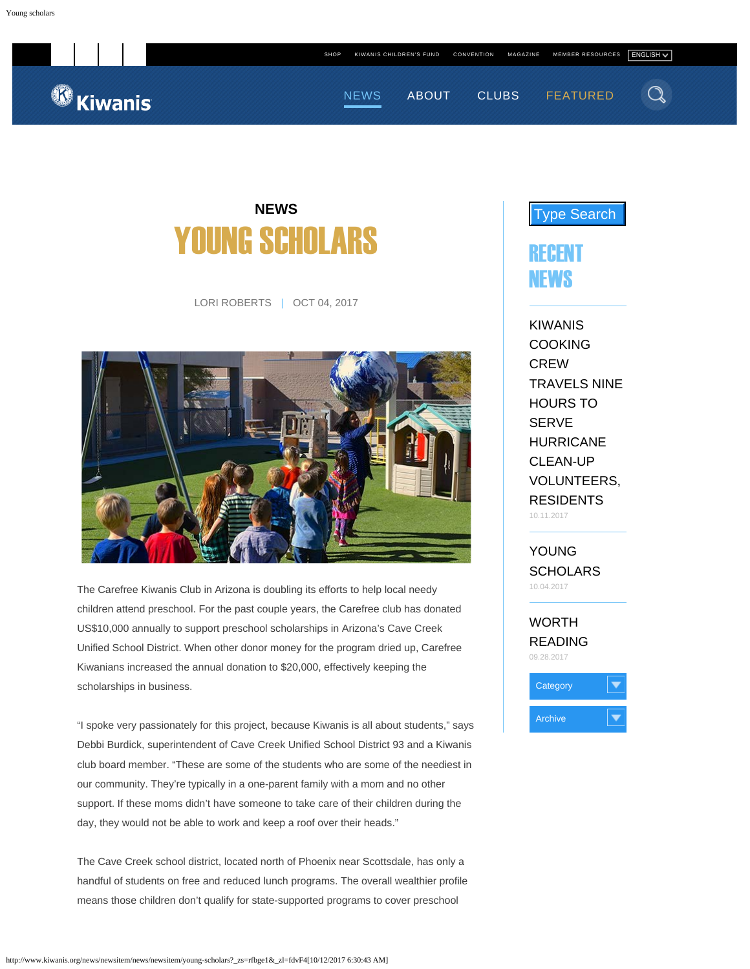<sup><sup>6</sup> Kiwanis</sup>

<span id="page-0-0"></span>

## **NEWS** YOUNG SCHOLARS

LORI ROBERTS | OCT 04, 2017



The Carefree Kiwanis Club in Arizona is doubling its efforts to help local needy children attend preschool. For the past couple years, the Carefree club has donated US\$10,000 annually to support preschool scholarships in Arizona's Cave Creek Unified School District. When other donor money for the program dried up, Carefree Kiwanians increased the annual donation to \$20,000, effectively keeping the scholarships in business.

"I spoke very passionately for this project, because Kiwanis is all about students," says Debbi Burdick, superintendent of Cave Creek Unified School District 93 and a Kiwanis club board member. "These are some of the students who are some of the neediest in our community. They're typically in a one-parent family with a mom and no other support. If these moms didn't have someone to take care of their children during the day, they would not be able to work and keep a roof over their heads."

The Cave Creek school district, located north of Phoenix near Scottsdale, has only a handful of students on free and reduced lunch programs. The overall wealthier profile means those children don't qualify for state-supported programs to cover preschool



[KIWANIS](http://www.kiwanis.org/news/newsitem/news/newsitem/kiwanis-cooking-crew-travels-nine-hours-to-serve-hurricane-clean-up-volunteers-residents) [COOKING](http://www.kiwanis.org/news/newsitem/news/newsitem/kiwanis-cooking-crew-travels-nine-hours-to-serve-hurricane-clean-up-volunteers-residents) [CREW](http://www.kiwanis.org/news/newsitem/news/newsitem/kiwanis-cooking-crew-travels-nine-hours-to-serve-hurricane-clean-up-volunteers-residents) [TRAVELS NINE](http://www.kiwanis.org/news/newsitem/news/newsitem/kiwanis-cooking-crew-travels-nine-hours-to-serve-hurricane-clean-up-volunteers-residents) [HOURS TO](http://www.kiwanis.org/news/newsitem/news/newsitem/kiwanis-cooking-crew-travels-nine-hours-to-serve-hurricane-clean-up-volunteers-residents) [SERVE](http://www.kiwanis.org/news/newsitem/news/newsitem/kiwanis-cooking-crew-travels-nine-hours-to-serve-hurricane-clean-up-volunteers-residents) [HURRICANE](http://www.kiwanis.org/news/newsitem/news/newsitem/kiwanis-cooking-crew-travels-nine-hours-to-serve-hurricane-clean-up-volunteers-residents) [CLEAN-UP](http://www.kiwanis.org/news/newsitem/news/newsitem/kiwanis-cooking-crew-travels-nine-hours-to-serve-hurricane-clean-up-volunteers-residents) [VOLUNTEERS,](http://www.kiwanis.org/news/newsitem/news/newsitem/kiwanis-cooking-crew-travels-nine-hours-to-serve-hurricane-clean-up-volunteers-residents) [RESIDENTS](http://www.kiwanis.org/news/newsitem/news/newsitem/kiwanis-cooking-crew-travels-nine-hours-to-serve-hurricane-clean-up-volunteers-residents) 10.11.2017

[YOUNG](http://www.kiwanis.org/news/newsitem/news/newsitem/young-scholars) **[SCHOLARS](http://www.kiwanis.org/news/newsitem/news/newsitem/young-scholars)** 10.04.2017

[WORTH](http://www.kiwanis.org/news/newsitem/news/newsitem/worth-reading) [READING](http://www.kiwanis.org/news/newsitem/news/newsitem/worth-reading) 09.28.2017

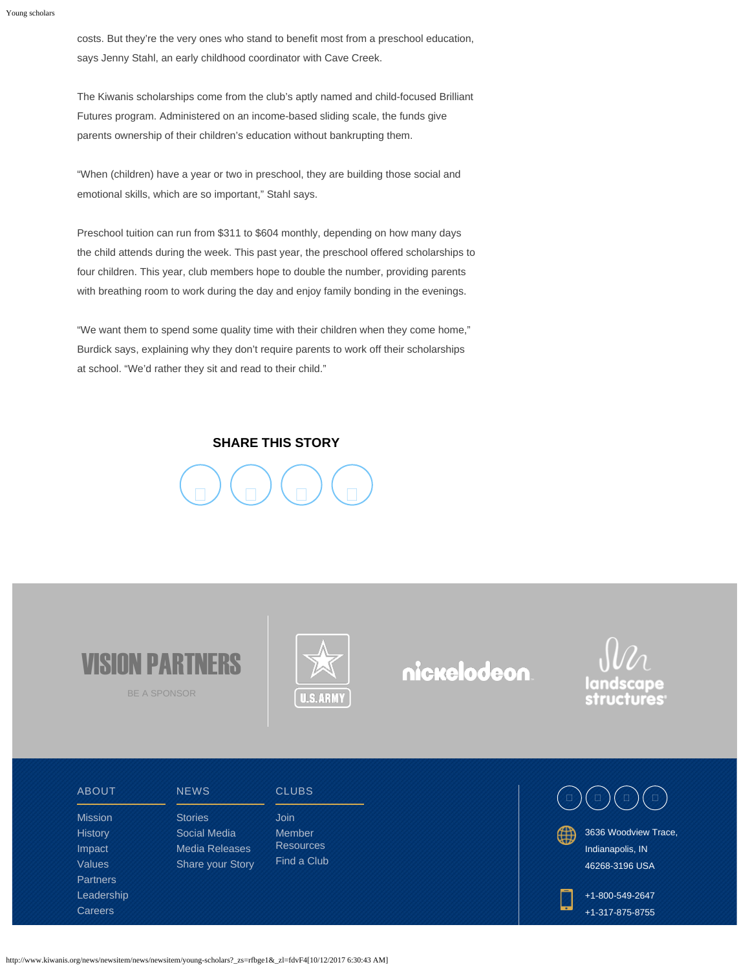costs. But they're the very ones who stand to benefit most from a preschool education, says Jenny Stahl, an early childhood coordinator with Cave Creek.

The Kiwanis scholarships come from the club's aptly named and child-focused Brilliant Futures program. Administered on an income-based sliding scale, the funds give parents ownership of their children's education without bankrupting them.

"When (children) have a year or two in preschool, they are building those social and emotional skills, which are so important," Stahl says.

Preschool tuition can run from \$311 to \$604 monthly, depending on how many days the child attends during the week. This past year, the preschool offered scholarships to four children. This year, club members hope to double the number, providing parents with breathing room to work during the day and enjoy family bonding in the evenings.

"We want them to spend some quality time with their children when they come home," Burdick says, explaining why they don't require parents to work off their scholarships at school. "We'd rather they sit and read to their child."

## **SHARE THIS STORY**





BE A SPONSOR



nickelodeon



[ABOUT](http://www.kiwanis.org/about)

[Mission](http://www.kiwanis.org/about/mission) **[History](http://www.kiwanis.org/about/history)** [Impact](http://www.kiwanis.org/about/impact) [Values](http://www.kiwanis.org/about/values) **[Partners](http://www.kiwanis.org/about/partners)** [Leadership](http://www.kiwanis.org/about/leadership) **[Careers](http://kiwanis.hirecentric.com/)** 

**[Stories](http://www.kiwanis.org/news/newslist?cat=stories)** 

**[NEWS](http://www.kiwanis.org/news)** 

[Social Media](http://www.kiwanis.org/news/social-media) [Media Releases](http://www.kiwanis.org/news/newslist?cat=media-releases) [Share your Story](http://www.kiwanis.org/news/share-your-story) **[CLUBS](http://www.kiwanis.org/clubs) [Join](http://www.kiwanis.org/clubs/join)** [Member](http://www.kiwanis.org/clubs/member-resources) **[Resources](http://www.kiwanis.org/clubs/member-resources)** [Find a Club](http://www.kiwanis.org/clubs/find-a-club)  $\Box$ ) (  $\Box$  ) (  $\Box$  ) (  $\Box$ 

3636 Woodview Trace, Indianapolis, IN 46268-3196 USA

+1-800-549-2647 +1-317-875-8755

http://www.kiwanis.org/news/newsitem/news/newsitem/young-scholars?\_zs=rfbge1&\_zl=fdvF4[10/12/2017 6:30:43 AM]